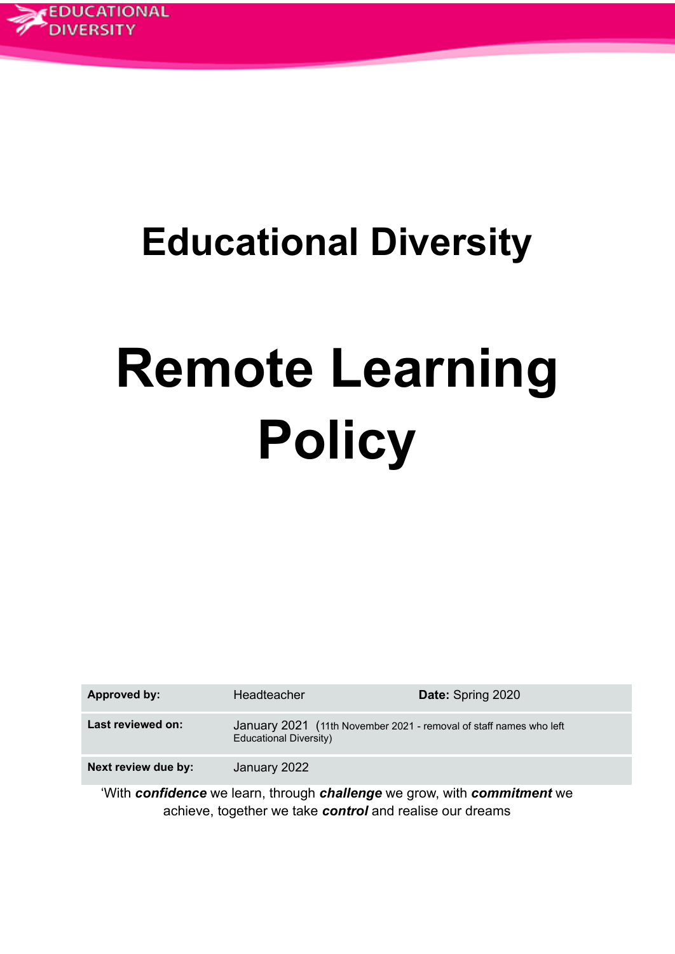

# **Educational Diversity**

# **Remote Learning Policy**

| <b>Approved by:</b> | Headteacher                                                                                         | <b>Date: Spring 2020</b> |
|---------------------|-----------------------------------------------------------------------------------------------------|--------------------------|
| Last reviewed on:   | January 2021 (11th November 2021 - removal of staff names who left<br><b>Educational Diversity)</b> |                          |
| Next review due by: | January 2022                                                                                        |                          |

'With *confidence* we learn, through *challenge* we grow, with *commitment* we achieve, together we take *control* and realise our dreams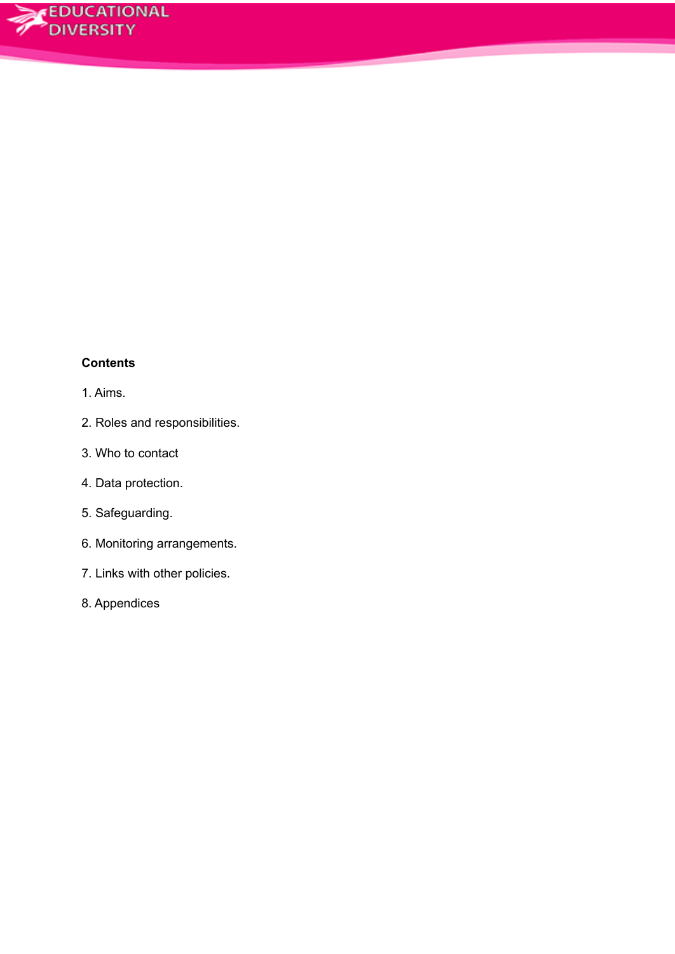# **Contents**

# 1. Aims.

- 2. Roles and responsibilities.
- 3. Who to contact
- 4. Data protection.
- 5. Safeguarding.
- 6. Monitoring arrangements.
- 7. Links with other policies.
- 8. Appendices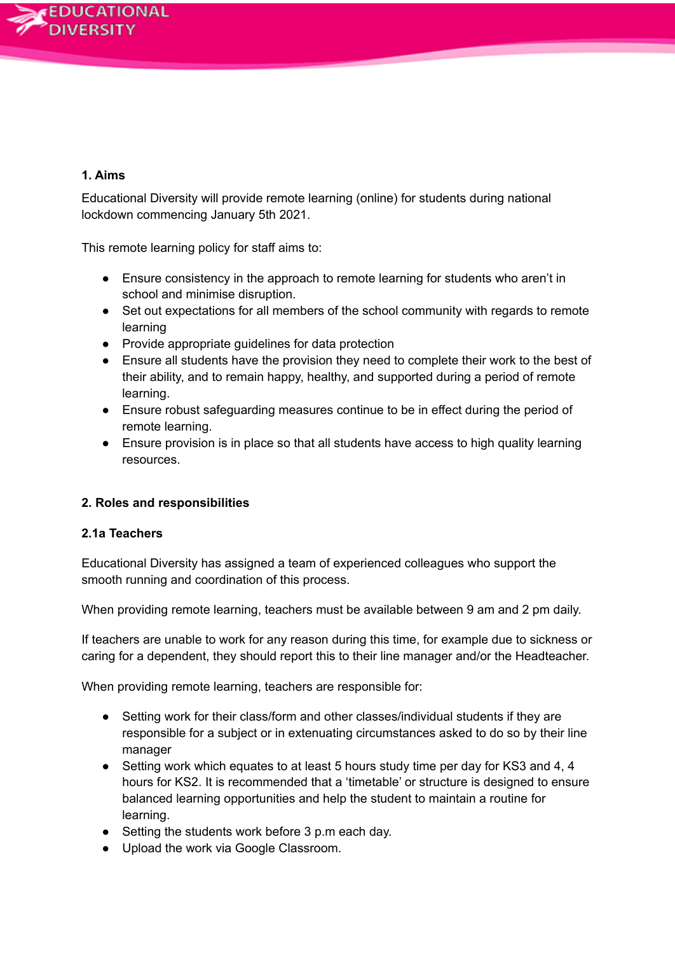# **1. Aims**

Educational Diversity will provide remote learning (online) for students during national lockdown commencing January 5th 2021.

This remote learning policy for staff aims to:

- Ensure consistency in the approach to remote learning for students who aren't in school and minimise disruption.
- Set out expectations for all members of the school community with regards to remote learning
- Provide appropriate guidelines for data protection
- Ensure all students have the provision they need to complete their work to the best of their ability, and to remain happy, healthy, and supported during a period of remote learning.
- Ensure robust safeguarding measures continue to be in effect during the period of remote learning.
- Ensure provision is in place so that all students have access to high quality learning resources.

# **2. Roles and responsibilities**

#### **2.1a Teachers**

Educational Diversity has assigned a team of experienced colleagues who support the smooth running and coordination of this process.

When providing remote learning, teachers must be available between 9 am and 2 pm daily.

If teachers are unable to work for any reason during this time, for example due to sickness or caring for a dependent, they should report this to their line manager and/or the Headteacher.

When providing remote learning, teachers are responsible for:

- Setting work for their class/form and other classes/individual students if they are responsible for a subject or in extenuating circumstances asked to do so by their line manager
- Setting work which equates to at least 5 hours study time per day for KS3 and 4, 4 hours for KS2. It is recommended that a 'timetable' or structure is designed to ensure balanced learning opportunities and help the student to maintain a routine for learning.
- Setting the students work before 3 p.m each day.
- Upload the work via Google Classroom.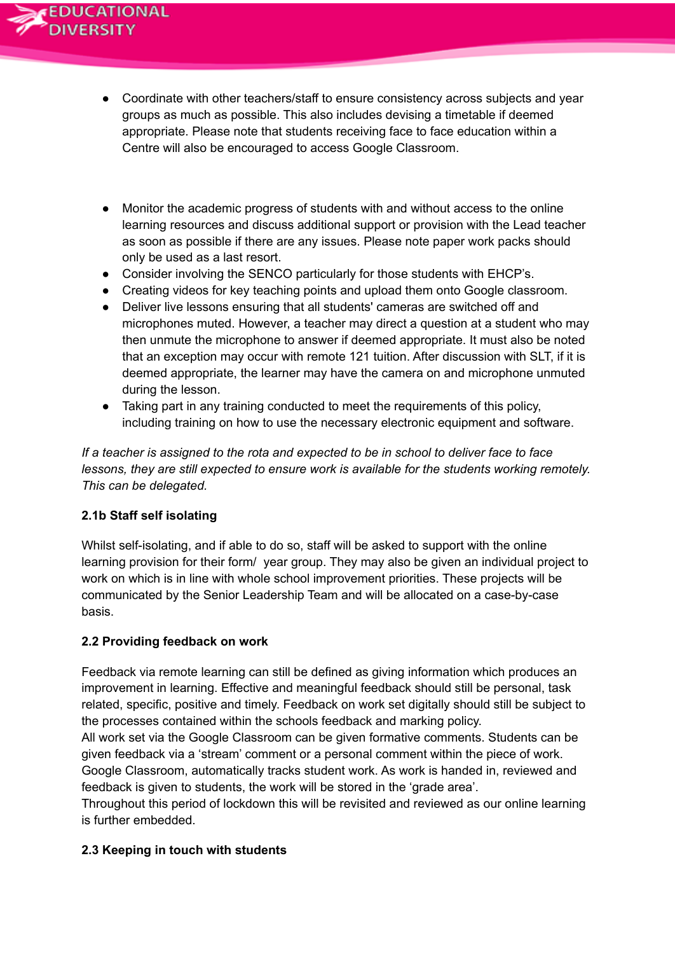- Coordinate with other teachers/staff to ensure consistency across subjects and year groups as much as possible. This also includes devising a timetable if deemed appropriate. Please note that students receiving face to face education within a Centre will also be encouraged to access Google Classroom.
- Monitor the academic progress of students with and without access to the online learning resources and discuss additional support or provision with the Lead teacher as soon as possible if there are any issues. Please note paper work packs should only be used as a last resort.
- Consider involving the SENCO particularly for those students with EHCP's.
- Creating videos for key teaching points and upload them onto Google classroom.
- Deliver live lessons ensuring that all students' cameras are switched off and microphones muted. However, a teacher may direct a question at a student who may then unmute the microphone to answer if deemed appropriate. It must also be noted that an exception may occur with remote 121 tuition. After discussion with SLT, if it is deemed appropriate, the learner may have the camera on and microphone unmuted during the lesson.
- Taking part in any training conducted to meet the requirements of this policy, including training on how to use the necessary electronic equipment and software.

*If a teacher is assigned to the rota and expected to be in school to deliver face to face lessons, they are still expected to ensure work is available for the students working remotely. This can be delegated.*

# **2.1b Staff self isolating**

Whilst self-isolating, and if able to do so, staff will be asked to support with the online learning provision for their form/ year group. They may also be given an individual project to work on which is in line with whole school improvement priorities. These projects will be communicated by the Senior Leadership Team and will be allocated on a case-by-case basis.

# **2.2 Providing feedback on work**

Feedback via remote learning can still be defined as giving information which produces an improvement in learning. Effective and meaningful feedback should still be personal, task related, specific, positive and timely. Feedback on work set digitally should still be subject to the processes contained within the schools feedback and marking policy.

All work set via the Google Classroom can be given formative comments. Students can be given feedback via a 'stream' comment or a personal comment within the piece of work. Google Classroom, automatically tracks student work. As work is handed in, reviewed and feedback is given to students, the work will be stored in the 'grade area'.

Throughout this period of lockdown this will be revisited and reviewed as our online learning is further embedded.

#### **2.3 Keeping in touch with students**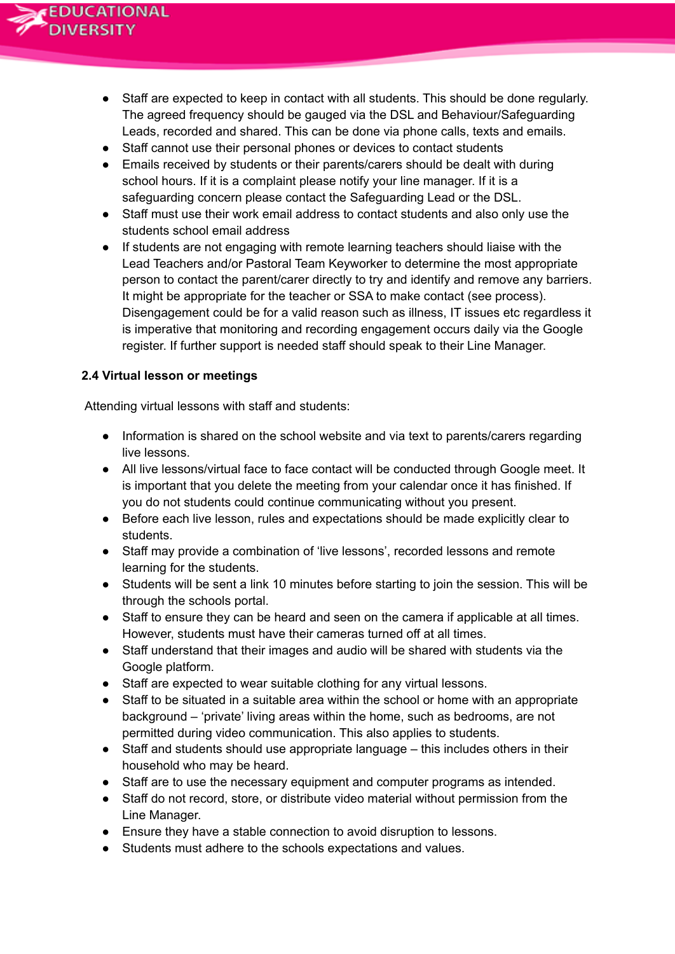

- Staff are expected to keep in contact with all students. This should be done regularly. The agreed frequency should be gauged via the DSL and Behaviour/Safeguarding Leads, recorded and shared. This can be done via phone calls, texts and emails.
- Staff cannot use their personal phones or devices to contact students
- Emails received by students or their parents/carers should be dealt with during school hours. If it is a complaint please notify your line manager. If it is a safeguarding concern please contact the Safeguarding Lead or the DSL.
- Staff must use their work email address to contact students and also only use the students school email address
- If students are not engaging with remote learning teachers should liaise with the Lead Teachers and/or Pastoral Team Keyworker to determine the most appropriate person to contact the parent/carer directly to try and identify and remove any barriers. It might be appropriate for the teacher or SSA to make contact (see process). Disengagement could be for a valid reason such as illness, IT issues etc regardless it is imperative that monitoring and recording engagement occurs daily via the Google register. If further support is needed staff should speak to their Line Manager.

#### **2.4 Virtual lesson or meetings**

Attending virtual lessons with staff and students:

- Information is shared on the school website and via text to parents/carers regarding live lessons.
- All live lessons/virtual face to face contact will be conducted through Google meet. It is important that you delete the meeting from your calendar once it has finished. If you do not students could continue communicating without you present.
- Before each live lesson, rules and expectations should be made explicitly clear to students.
- Staff may provide a combination of 'live lessons', recorded lessons and remote learning for the students.
- Students will be sent a link 10 minutes before starting to join the session. This will be through the schools portal.
- Staff to ensure they can be heard and seen on the camera if applicable at all times. However, students must have their cameras turned off at all times.
- Staff understand that their images and audio will be shared with students via the Google platform.
- Staff are expected to wear suitable clothing for any virtual lessons.
- Staff to be situated in a suitable area within the school or home with an appropriate background – 'private' living areas within the home, such as bedrooms, are not permitted during video communication. This also applies to students.
- Staff and students should use appropriate language this includes others in their household who may be heard.
- Staff are to use the necessary equipment and computer programs as intended.
- Staff do not record, store, or distribute video material without permission from the Line Manager.
- Ensure they have a stable connection to avoid disruption to lessons.
- Students must adhere to the schools expectations and values.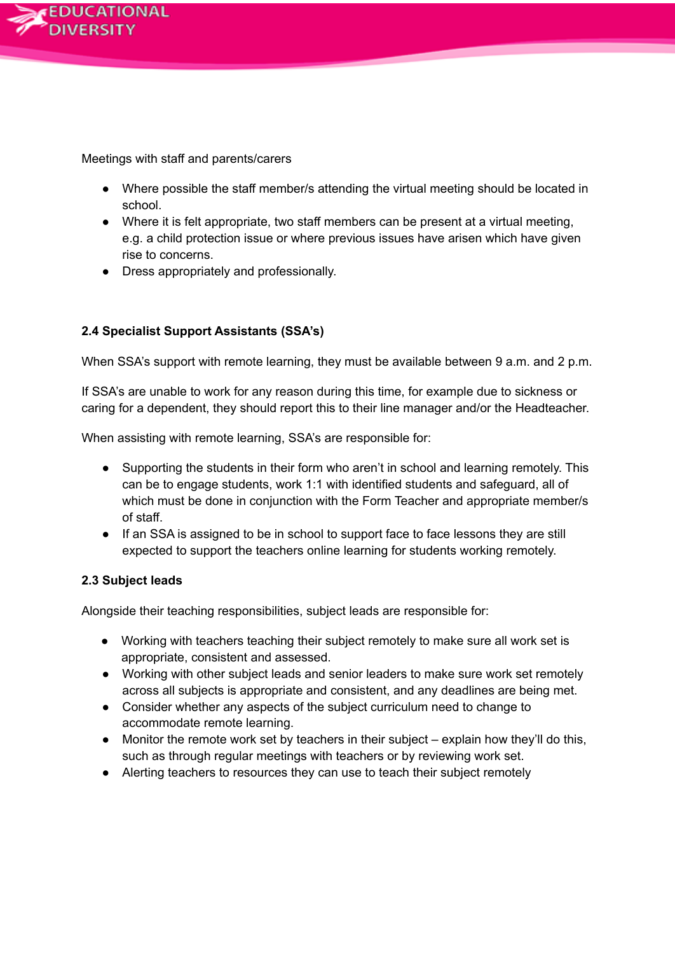

Meetings with staff and parents/carers

- Where possible the staff member/s attending the virtual meeting should be located in school.
- Where it is felt appropriate, two staff members can be present at a virtual meeting, e.g. a child protection issue or where previous issues have arisen which have given rise to concerns.
- Dress appropriately and professionally.

# **2.4 Specialist Support Assistants (SSA's)**

When SSA's support with remote learning, they must be available between 9 a.m. and 2 p.m.

If SSA's are unable to work for any reason during this time, for example due to sickness or caring for a dependent, they should report this to their line manager and/or the Headteacher.

When assisting with remote learning, SSA's are responsible for:

- Supporting the students in their form who aren't in school and learning remotely. This can be to engage students, work 1:1 with identified students and safeguard, all of which must be done in conjunction with the Form Teacher and appropriate member/s of staff.
- If an SSA is assigned to be in school to support face to face lessons they are still expected to support the teachers online learning for students working remotely.

# **2.3 Subject leads**

Alongside their teaching responsibilities, subject leads are responsible for:

- Working with teachers teaching their subject remotely to make sure all work set is appropriate, consistent and assessed.
- Working with other subject leads and senior leaders to make sure work set remotely across all subjects is appropriate and consistent, and any deadlines are being met.
- Consider whether any aspects of the subject curriculum need to change to accommodate remote learning.
- Monitor the remote work set by teachers in their subject explain how they'll do this, such as through regular meetings with teachers or by reviewing work set.
- Alerting teachers to resources they can use to teach their subject remotely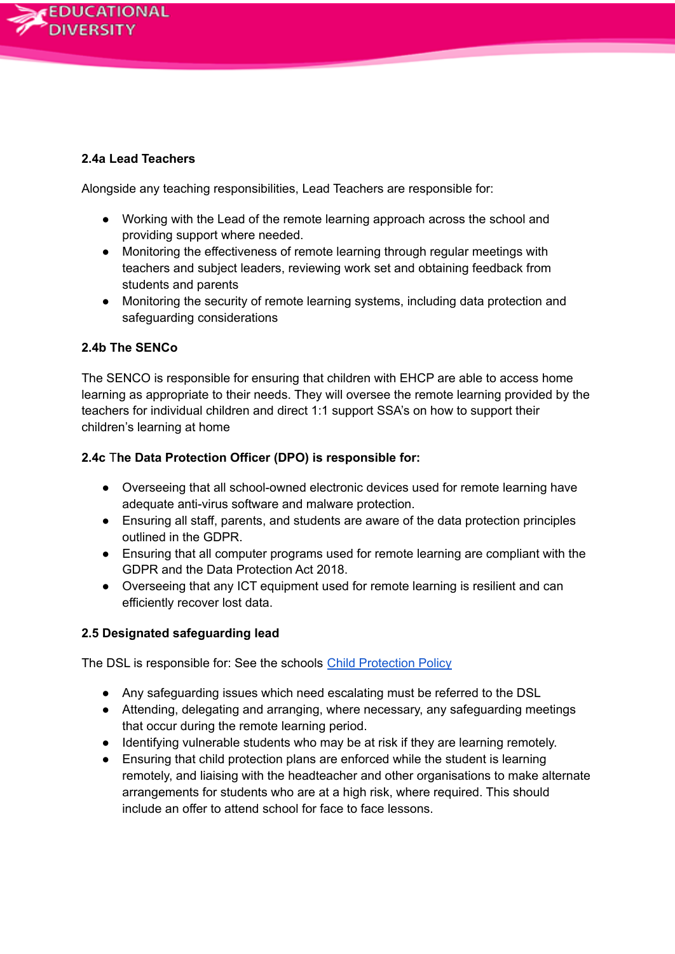

### **2.4a Lead Teachers**

Alongside any teaching responsibilities, Lead Teachers are responsible for:

- Working with the Lead of the remote learning approach across the school and providing support where needed.
- Monitoring the effectiveness of remote learning through regular meetings with teachers and subject leaders, reviewing work set and obtaining feedback from students and parents
- Monitoring the security of remote learning systems, including data protection and safeguarding considerations

# **2.4b The SENCo**

The SENCO is responsible for ensuring that children with EHCP are able to access home learning as appropriate to their needs. They will oversee the remote learning provided by the teachers for individual children and direct 1:1 support SSA's on how to support their children's learning at home

### **2.4c** T**he Data Protection Officer (DPO) is responsible for:**

- Overseeing that all school-owned electronic devices used for remote learning have adequate anti-virus software and malware protection.
- Ensuring all staff, parents, and students are aware of the data protection principles outlined in the GDPR.
- Ensuring that all computer programs used for remote learning are compliant with the GDPR and the Data Protection Act 2018.
- Overseeing that any ICT equipment used for remote learning is resilient and can efficiently recover lost data.

#### **2.5 Designated safeguarding lead**

The DSL is responsible for: See the schools Child [Protection](https://docs.google.com/document/d/1cvNiSy8LfT8nnfZ9TkAO2qU4uZykNKKF/edit#heading=h.gjdgxs) Policy

- Any safeguarding issues which need escalating must be referred to the DSL
- Attending, delegating and arranging, where necessary, any safeguarding meetings that occur during the remote learning period.
- Identifying vulnerable students who may be at risk if they are learning remotely.
- Ensuring that child protection plans are enforced while the student is learning remotely, and liaising with the headteacher and other organisations to make alternate arrangements for students who are at a high risk, where required. This should include an offer to attend school for face to face lessons.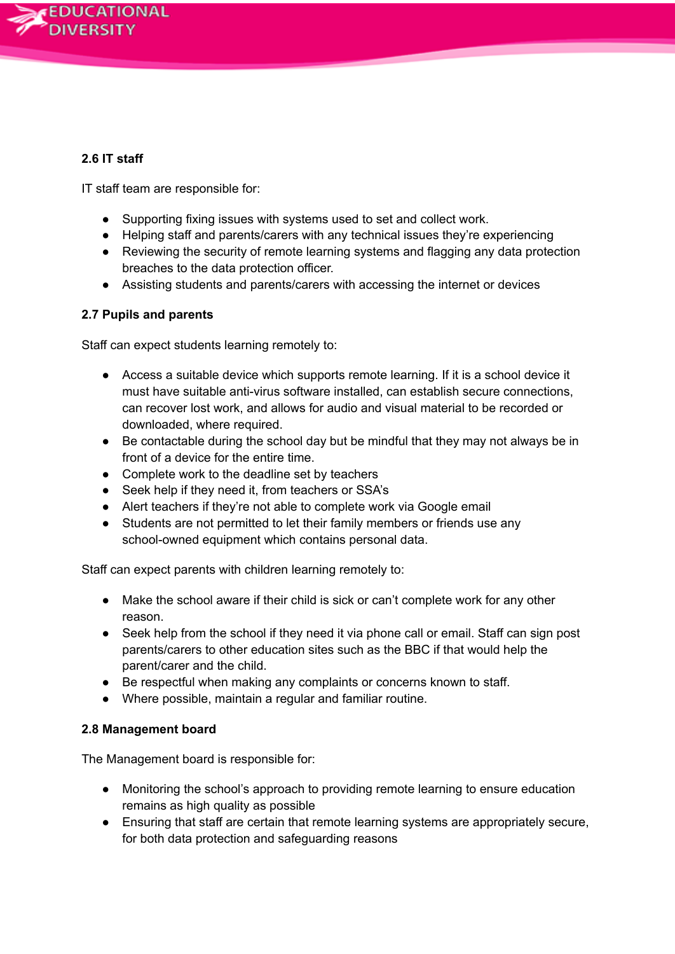

# **2.6 IT staff**

IT staff team are responsible for:

- Supporting fixing issues with systems used to set and collect work.
- Helping staff and parents/carers with any technical issues they're experiencing
- Reviewing the security of remote learning systems and flagging any data protection breaches to the data protection officer.
- Assisting students and parents/carers with accessing the internet or devices

### **2.7 Pupils and parents**

Staff can expect students learning remotely to:

- Access a suitable device which supports remote learning. If it is a school device it must have suitable anti-virus software installed, can establish secure connections, can recover lost work, and allows for audio and visual material to be recorded or downloaded, where required.
- Be contactable during the school day but be mindful that they may not always be in front of a device for the entire time.
- Complete work to the deadline set by teachers
- Seek help if they need it, from teachers or SSA's
- Alert teachers if they're not able to complete work via Google email
- Students are not permitted to let their family members or friends use any school-owned equipment which contains personal data.

Staff can expect parents with children learning remotely to:

- Make the school aware if their child is sick or can't complete work for any other reason.
- Seek help from the school if they need it via phone call or email. Staff can sign post parents/carers to other education sites such as the BBC if that would help the parent/carer and the child.
- Be respectful when making any complaints or concerns known to staff.
- Where possible, maintain a regular and familiar routine.

#### **2.8 Management board**

The Management board is responsible for:

- Monitoring the school's approach to providing remote learning to ensure education remains as high quality as possible
- Ensuring that staff are certain that remote learning systems are appropriately secure, for both data protection and safeguarding reasons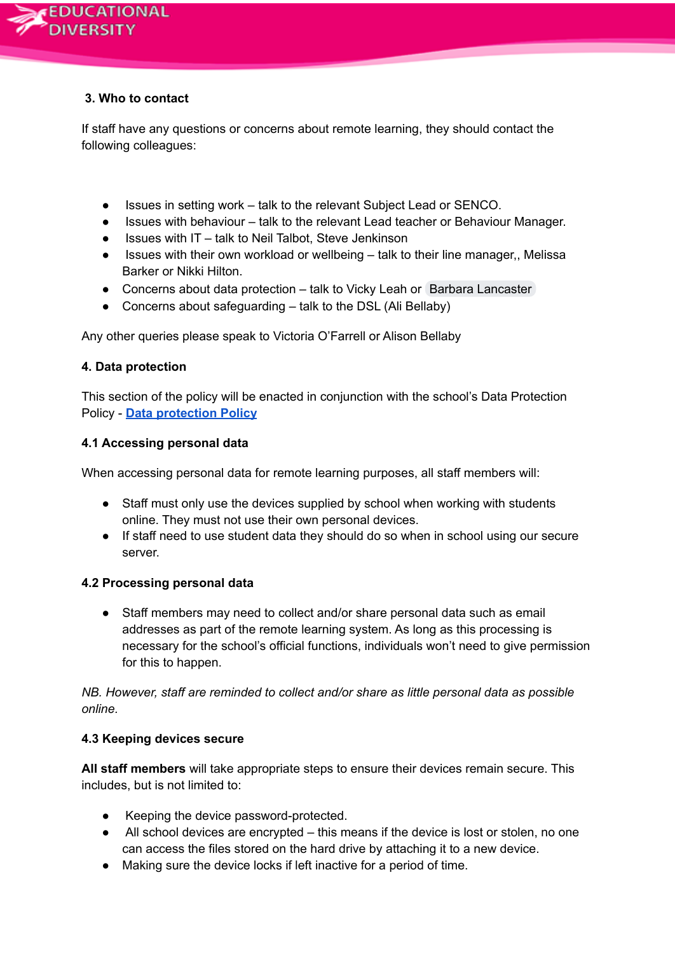

# **3. Who to contact**

If staff have any questions or concerns about remote learning, they should contact the following colleagues:

- Issues in setting work talk to the relevant Subject Lead or SENCO.
- Issues with behaviour talk to the relevant Lead teacher or Behaviour Manager.
- $\bullet$  Issues with IT talk to Neil Talbot, Steve Jenkinson
- Issues with their own workload or wellbeing talk to their line manager,, Melissa Barker or Nikki Hilton.
- Concerns about data protection talk to Vicky Leah or Barbara [Lancaster](mailto:barbara.lancaster@eddiversity.blackpool.sch.uk)
- Concerns about safeguarding  $-$  talk to the DSL (Ali Bellaby)

Any other queries please speak to Victoria O'Farrell or Alison Bellaby

# **4. Data protection**

This section of the policy will be enacted in conjunction with the school's Data Protection Policy - **Data [protection](https://docs.google.com/document/d/1HmC9qvl2_8cAhdt1DkscR_d2ewze3_UpGEPCnoFhYeM/edit#heading=h.gjdgxs) Policy**

### **4.1 Accessing personal data**

When accessing personal data for remote learning purposes, all staff members will:

- Staff must only use the devices supplied by school when working with students online. They must not use their own personal devices.
- If staff need to use student data they should do so when in school using our secure server.

# **4.2 Processing personal data**

● Staff members may need to collect and/or share personal data such as email addresses as part of the remote learning system. As long as this processing is necessary for the school's official functions, individuals won't need to give permission for this to happen.

*NB. However, staff are reminded to collect and/or share as little personal data as possible online.*

# **4.3 Keeping devices secure**

**All staff members** will take appropriate steps to ensure their devices remain secure. This includes, but is not limited to:

- Keeping the device password-protected.
- All school devices are encrypted this means if the device is lost or stolen, no one can access the files stored on the hard drive by attaching it to a new device.
- Making sure the device locks if left inactive for a period of time.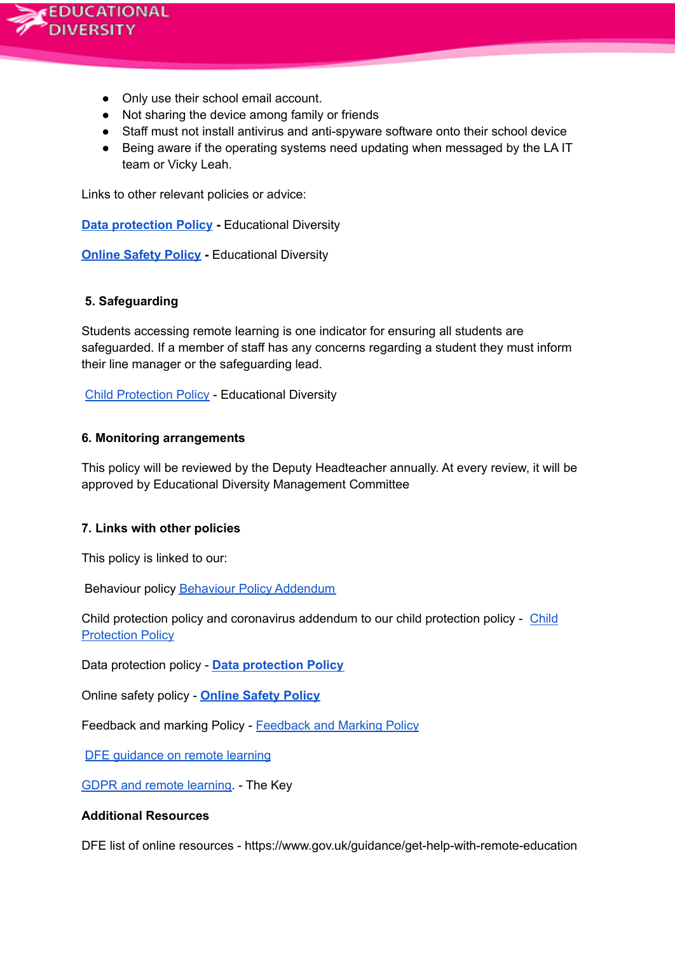

- Only use their school email account.
- Not sharing the device among family or friends
- Staff must not install antivirus and anti-spyware software onto their school device
- Being aware if the operating systems need updating when messaged by the LA IT team or Vicky Leah.

Links to other relevant policies or advice:

**Data [protection](https://docs.google.com/document/d/1HmC9qvl2_8cAhdt1DkscR_d2ewze3_UpGEPCnoFhYeM/edit#heading=h.gjdgxs) Policy -** Educational Diversity

**[Online](https://drive.google.com/drive/search?q=data%20protection%20policy) Safety Policy -** Educational Diversity

#### **5. Safeguarding**

Students accessing remote learning is one indicator for ensuring all students are safeguarded. If a member of staff has any concerns regarding a student they must inform their line manager or the safeguarding lead.

Child [Protection](https://docs.google.com/document/d/1cvNiSy8LfT8nnfZ9TkAO2qU4uZykNKKF/edit#heading=h.gjdgxs) Policy - Educational Diversity

#### **6. Monitoring arrangements**

This policy will be reviewed by the Deputy Headteacher annually. At every review, it will be approved by Educational Diversity Management Committee

#### **7. Links with other policies**

This policy is linked to our:

Behaviour policy Behaviour Policy [Addendum](https://docs.google.com/document/d/1AG_fzGJdddW4Ft41lJCbJ5DJtC2uBXQpVYINSMLjXyE/edit)

Child protection policy and coronavirus addendum to our child protection policy - [Child](https://docs.google.com/document/d/1cvNiSy8LfT8nnfZ9TkAO2qU4uZykNKKF/edit#heading=h.gjdgxs) **[Protection](https://docs.google.com/document/d/1cvNiSy8LfT8nnfZ9TkAO2qU4uZykNKKF/edit#heading=h.gjdgxs) Policy** 

Data protection policy - **Data [protection](https://docs.google.com/document/d/1HmC9qvl2_8cAhdt1DkscR_d2ewze3_UpGEPCnoFhYeM/edit#heading=h.gjdgxs) Policy**

Online safety policy - **[Online](https://drive.google.com/drive/search?q=data%20protection%20policy) Safety Policy**

Feedback and marking Policy - [Feedback](https://docs.google.com/document/d/1ELbl9igPhZ9hJVJzKs1_vcgIVU3bU82ThHufFzGneqo/edit) and Marking Policy

DFE [guidance](https://www.gov.uk/guidance/get-help-with-remote-education) on remote learning

GDPR and remote [learning.](https://schoolleaders.thekeysupport.com/uid/a4f9d627-575d-45f5-9367-040b246c213c/) - The Key

#### **Additional Resources**

DFE list of online resources - https://www.gov.uk/guidance/get-help-with-remote-education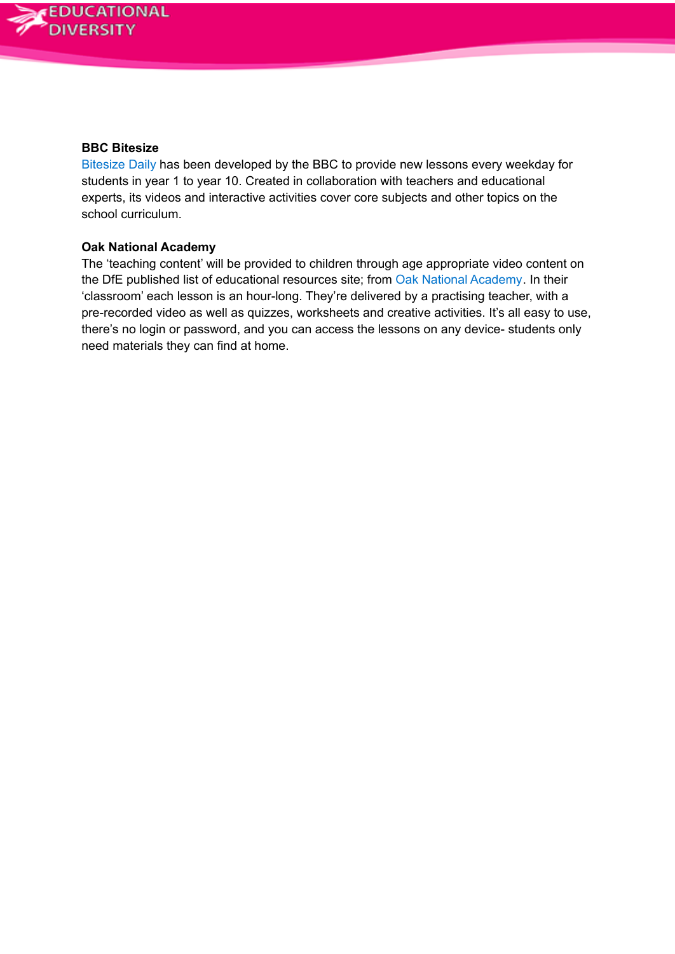

#### **BBC Bitesize**

[Bitesize](https://www.bbc.co.uk/bitesize/dailylessons) Daily has been developed by the BBC to provide new lessons every weekday for students in year 1 to year 10. Created in collaboration with teachers and educational experts, its videos and interactive activities cover core subjects and other topics on the school curriculum.

#### **Oak National Academy**

The 'teaching content' will be provided to children through age appropriate video content on the DfE published list of educational resources site; from Oak National [Academy.](https://www.thenational.academy/) In their 'classroom' each lesson is an hour-long. They're delivered by a practising teacher, with a pre-recorded video as well as quizzes, worksheets and creative activities. It's all easy to use, there's no login or password, and you can access the lessons on any device- students only need materials they can find at home.